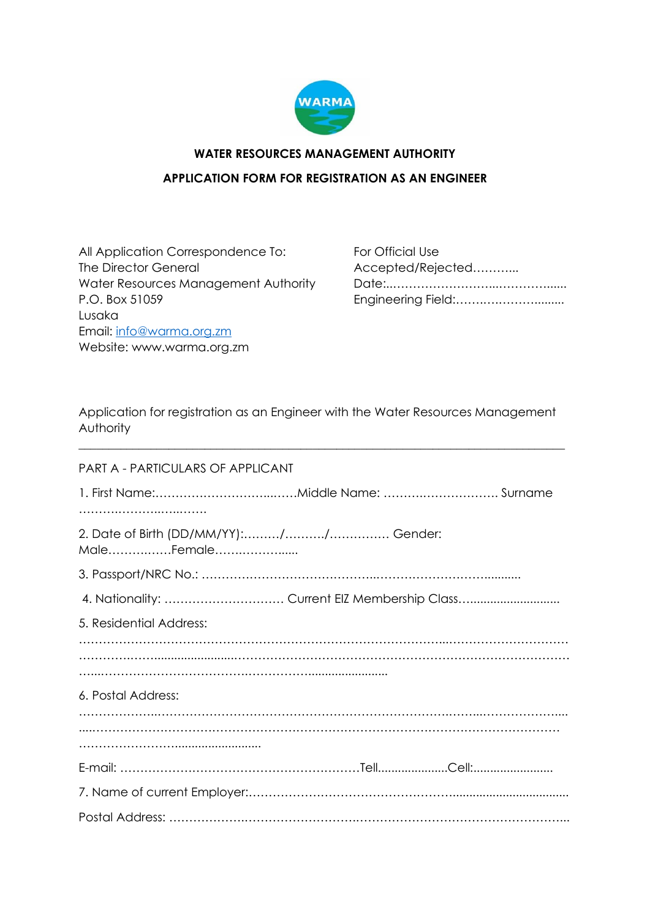

# **WATER RESOURCES MANAGEMENT AUTHORITY APPLICATION FORM FOR REGISTRATION AS AN ENGINEER**

All Application Correspondence To: For Official Use The Director General Accepted/Rejected………… Water Resources Management Authority Date:..……………………...…………...... P.O. Box 51059 Engineering Field:…….….………......... Lusaka Email: [info@warma.org.zm](mailto:info@warma.org.zm) Website: www.warma.org.zm

Application for registration as an Engineer with the Water Resources Management Authority

\_\_\_\_\_\_\_\_\_\_\_\_\_\_\_\_\_\_\_\_\_\_\_\_\_\_\_\_\_\_\_\_\_\_\_\_\_\_\_\_\_\_\_\_\_\_\_\_\_\_\_\_\_\_\_\_\_\_\_\_\_\_\_\_\_\_\_\_\_\_\_\_\_\_\_\_\_\_\_\_\_

| PART A - PARTICULARS OF APPLICANT |
|-----------------------------------|
|                                   |
|                                   |
| MaleFemale                        |
|                                   |
|                                   |
| 5. Residential Address:           |
|                                   |
|                                   |
| 6. Postal Address:                |
|                                   |
|                                   |
|                                   |
|                                   |
|                                   |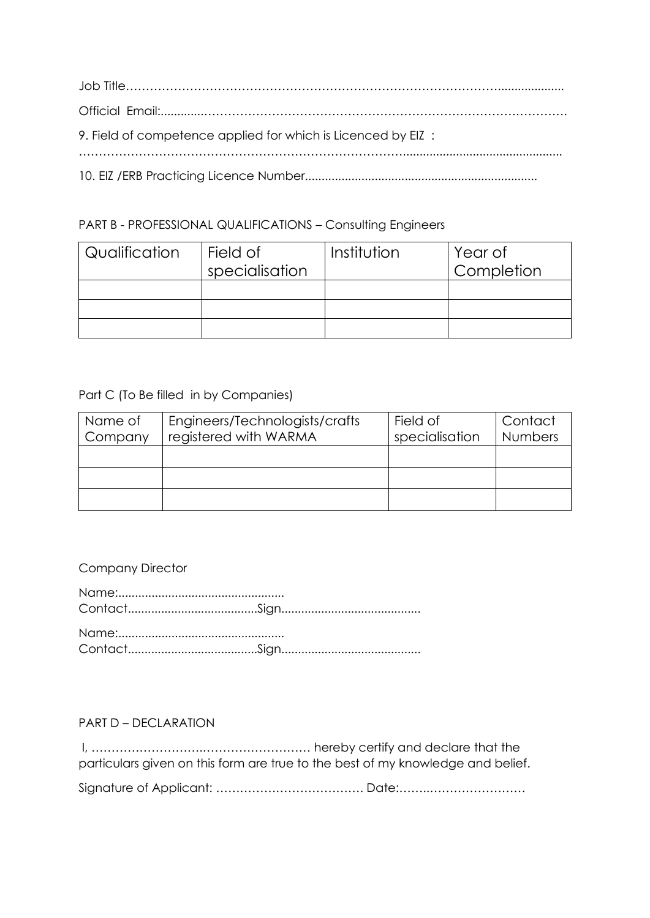| 9. Field of competence applied for which is Licenced by EIZ: |
|--------------------------------------------------------------|
|                                                              |

# PART B - PROFESSIONAL QUALIFICATIONS – Consulting Engineers

| Qualification | Field of<br>specialisation | Institution | Year of<br>Completion |
|---------------|----------------------------|-------------|-----------------------|
|               |                            |             |                       |
|               |                            |             |                       |
|               |                            |             |                       |

### Part C (To Be filled in by Companies)

| Name of | Engineers/Technologists/crafts | Field of       | Contact        |
|---------|--------------------------------|----------------|----------------|
| Company | registered with WARMA          | specialisation | <b>Numbers</b> |
|         |                                |                |                |
|         |                                |                |                |
|         |                                |                |                |
|         |                                |                |                |
|         |                                |                |                |

# Company Director

#### PART D – DECLARATION

I, ……………………….……………………… hereby certify and declare that the particulars given on this form are true to the best of my knowledge and belief.

Signature of Applicant: ………………………………. Date:……..……………………